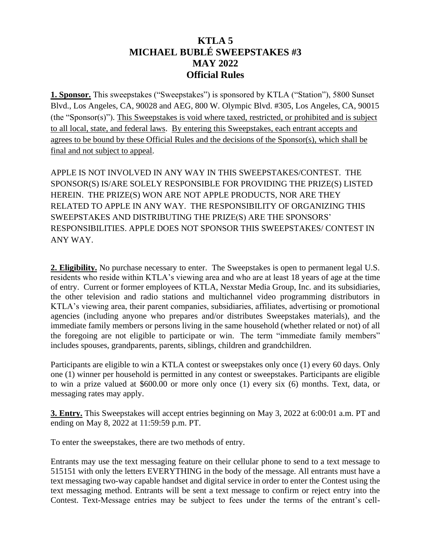## **KTLA 5 MICHAEL BUBLÉ SWEEPSTAKES #3 MAY 2022 Official Rules**

**1. Sponsor.** This sweepstakes ("Sweepstakes") is sponsored by KTLA ("Station"), 5800 Sunset Blvd., Los Angeles, CA, 90028 and AEG, 800 W. Olympic Blvd. #305, Los Angeles, CA, 90015 (the "Sponsor(s)"). This Sweepstakes is void where taxed, restricted, or prohibited and is subject to all local, state, and federal laws. By entering this Sweepstakes, each entrant accepts and agrees to be bound by these Official Rules and the decisions of the Sponsor(s), which shall be final and not subject to appeal.

APPLE IS NOT INVOLVED IN ANY WAY IN THIS SWEEPSTAKES/CONTEST. THE SPONSOR(S) IS/ARE SOLELY RESPONSIBLE FOR PROVIDING THE PRIZE(S) LISTED HEREIN. THE PRIZE(S) WON ARE NOT APPLE PRODUCTS, NOR ARE THEY RELATED TO APPLE IN ANY WAY. THE RESPONSIBILITY OF ORGANIZING THIS SWEEPSTAKES AND DISTRIBUTING THE PRIZE(S) ARE THE SPONSORS' RESPONSIBILITIES. APPLE DOES NOT SPONSOR THIS SWEEPSTAKES/ CONTEST IN ANY WAY.

**2. Eligibility.** No purchase necessary to enter. The Sweepstakes is open to permanent legal U.S. residents who reside within KTLA's viewing area and who are at least 18 years of age at the time of entry. Current or former employees of KTLA, Nexstar Media Group, Inc. and its subsidiaries, the other television and radio stations and multichannel video programming distributors in KTLA's viewing area, their parent companies, subsidiaries, affiliates, advertising or promotional agencies (including anyone who prepares and/or distributes Sweepstakes materials), and the immediate family members or persons living in the same household (whether related or not) of all the foregoing are not eligible to participate or win. The term "immediate family members" includes spouses, grandparents, parents, siblings, children and grandchildren.

Participants are eligible to win a KTLA contest or sweepstakes only once (1) every 60 days. Only one (1) winner per household is permitted in any contest or sweepstakes. Participants are eligible to win a prize valued at \$600.00 or more only once (1) every six (6) months. Text, data, or messaging rates may apply.

**3. Entry.** This Sweepstakes will accept entries beginning on May 3, 2022 at 6:00:01 a.m. PT and ending on May 8, 2022 at 11:59:59 p.m. PT.

To enter the sweepstakes, there are two methods of entry.

Entrants may use the text messaging feature on their cellular phone to send to a text message to 515151 with only the letters EVERYTHING in the body of the message. All entrants must have a text messaging two-way capable handset and digital service in order to enter the Contest using the text messaging method. Entrants will be sent a text message to confirm or reject entry into the Contest. Text-Message entries may be subject to fees under the terms of the entrant's cell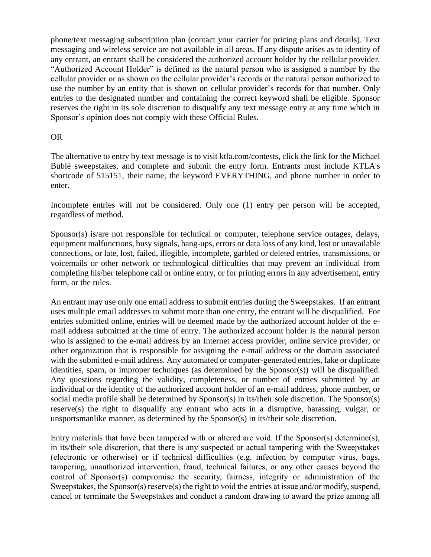phone/text messaging subscription plan (contact your carrier for pricing plans and details). Text messaging and wireless service are not available in all areas. If any dispute arises as to identity of any entrant, an entrant shall be considered the authorized account holder by the cellular provider. "Authorized Account Holder" is defined as the natural person who is assigned a number by the cellular provider or as shown on the cellular provider's records or the natural person authorized to use the number by an entity that is shown on cellular provider's records for that number. Only entries to the designated number and containing the correct keyword shall be eligible. Sponsor reserves the right in its sole discretion to disqualify any text message entry at any time which in Sponsor's opinion does not comply with these Official Rules.

## OR

The alternative to entry by text message is to visit ktla.com/contests, click the link for the Michael Bublé sweepstakes, and complete and submit the entry form. Entrants must include KTLA's shortcode of 515151, their name, the keyword EVERYTHING, and phone number in order to enter.

Incomplete entries will not be considered. Only one (1) entry per person will be accepted, regardless of method.

Sponsor(s) is/are not responsible for technical or computer, telephone service outages, delays, equipment malfunctions, busy signals, hang-ups, errors or data loss of any kind, lost or unavailable connections, or late, lost, failed, illegible, incomplete, garbled or deleted entries, transmissions, or voicemails or other network or technological difficulties that may prevent an individual from completing his/her telephone call or online entry, or for printing errors in any advertisement, entry form, or the rules.

An entrant may use only one email address to submit entries during the Sweepstakes. If an entrant uses multiple email addresses to submit more than one entry, the entrant will be disqualified. For entries submitted online, entries will be deemed made by the authorized account holder of the email address submitted at the time of entry. The authorized account holder is the natural person who is assigned to the e-mail address by an Internet access provider, online service provider, or other organization that is responsible for assigning the e-mail address or the domain associated with the submitted e-mail address. Any automated or computer-generated entries, fake or duplicate identities, spam, or improper techniques (as determined by the Sponsor(s)) will be disqualified. Any questions regarding the validity, completeness, or number of entries submitted by an individual or the identity of the authorized account holder of an e-mail address, phone number, or social media profile shall be determined by Sponsor(s) in its/their sole discretion. The Sponsor(s) reserve(s) the right to disqualify any entrant who acts in a disruptive, harassing, vulgar, or unsportsmanlike manner, as determined by the Sponsor(s) in its/their sole discretion.

Entry materials that have been tampered with or altered are void. If the Sponsor(s) determine(s), in its/their sole discretion, that there is any suspected or actual tampering with the Sweepstakes (electronic or otherwise) or if technical difficulties (e.g. infection by computer virus, bugs, tampering, unauthorized intervention, fraud, technical failures, or any other causes beyond the control of Sponsor(s) compromise the security, fairness, integrity or administration of the Sweepstakes, the Sponsor(s) reserve(s) the right to void the entries at issue and/or modify, suspend, cancel or terminate the Sweepstakes and conduct a random drawing to award the prize among all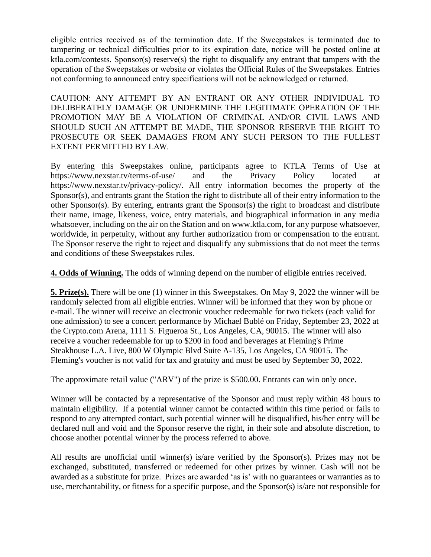eligible entries received as of the termination date. If the Sweepstakes is terminated due to tampering or technical difficulties prior to its expiration date, notice will be posted online at ktla.com/contests. Sponsor(s) reserve(s) the right to disqualify any entrant that tampers with the operation of the Sweepstakes or website or violates the Official Rules of the Sweepstakes. Entries not conforming to announced entry specifications will not be acknowledged or returned.

CAUTION: ANY ATTEMPT BY AN ENTRANT OR ANY OTHER INDIVIDUAL TO DELIBERATELY DAMAGE OR UNDERMINE THE LEGITIMATE OPERATION OF THE PROMOTION MAY BE A VIOLATION OF CRIMINAL AND/OR CIVIL LAWS AND SHOULD SUCH AN ATTEMPT BE MADE, THE SPONSOR RESERVE THE RIGHT TO PROSECUTE OR SEEK DAMAGES FROM ANY SUCH PERSON TO THE FULLEST EXTENT PERMITTED BY LAW.

By entering this Sweepstakes online, participants agree to KTLA Terms of Use at https://www.nexstar.tv/terms-of-use/ and the Privacy Policy located at https://www.nexstar.tv/privacy-policy/. All entry information becomes the property of the Sponsor(s), and entrants grant the Station the right to distribute all of their entry information to the other Sponsor(s). By entering, entrants grant the Sponsor(s) the right to broadcast and distribute their name, image, likeness, voice, entry materials, and biographical information in any media whatsoever, including on the air on the Station and on www.ktla.com, for any purpose whatsoever, worldwide, in perpetuity, without any further authorization from or compensation to the entrant. The Sponsor reserve the right to reject and disqualify any submissions that do not meet the terms and conditions of these Sweepstakes rules.

**4. Odds of Winning.** The odds of winning depend on the number of eligible entries received.

**5. Prize(s).** There will be one (1) winner in this Sweepstakes. On May 9, 2022 the winner will be randomly selected from all eligible entries. Winner will be informed that they won by phone or e-mail. The winner will receive an electronic voucher redeemable for two tickets (each valid for one admission) to see a concert performance by Michael Bublé on Friday, September 23, 2022 at the Crypto.com Arena, 1111 S. Figueroa St., Los Angeles, CA, 90015. The winner will also receive a voucher redeemable for up to \$200 in food and beverages at Fleming's Prime Steakhouse L.A. Live, 800 W Olympic Blvd Suite A-135, Los Angeles, CA 90015. The Fleming's voucher is not valid for tax and gratuity and must be used by September 30, 2022.

The approximate retail value ("ARV") of the prize is \$500.00. Entrants can win only once.

Winner will be contacted by a representative of the Sponsor and must reply within 48 hours to maintain eligibility. If a potential winner cannot be contacted within this time period or fails to respond to any attempted contact, such potential winner will be disqualified, his/her entry will be declared null and void and the Sponsor reserve the right, in their sole and absolute discretion, to choose another potential winner by the process referred to above.

All results are unofficial until winner(s) is/are verified by the Sponsor(s). Prizes may not be exchanged, substituted, transferred or redeemed for other prizes by winner. Cash will not be awarded as a substitute for prize. Prizes are awarded 'as is' with no guarantees or warranties as to use, merchantability, or fitness for a specific purpose, and the Sponsor(s) is/are not responsible for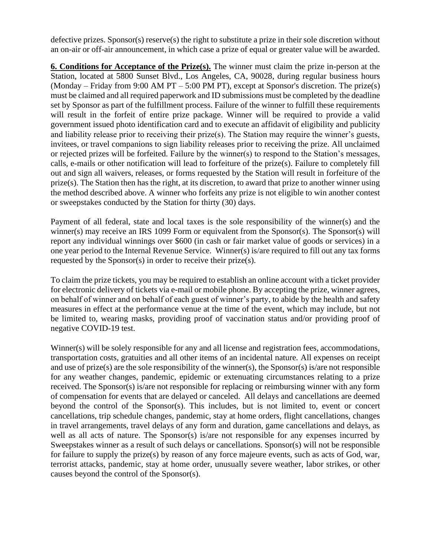defective prizes. Sponsor(s) reserve(s) the right to substitute a prize in their sole discretion without an on-air or off-air announcement, in which case a prize of equal or greater value will be awarded.

**6. Conditions for Acceptance of the Prize(s).** The winner must claim the prize in-person at the Station, located at 5800 Sunset Blvd., Los Angeles, CA, 90028, during regular business hours (Monday – Friday from 9:00 AM PT – 5:00 PM PT), except at Sponsor's discretion. The prize(s) must be claimed and all required paperwork and ID submissions must be completed by the deadline set by Sponsor as part of the fulfillment process. Failure of the winner to fulfill these requirements will result in the forfeit of entire prize package. Winner will be required to provide a valid government issued photo identification card and to execute an affidavit of eligibility and publicity and liability release prior to receiving their prize(s). The Station may require the winner's guests, invitees, or travel companions to sign liability releases prior to receiving the prize. All unclaimed or rejected prizes will be forfeited. Failure by the winner(s) to respond to the Station's messages, calls, e-mails or other notification will lead to forfeiture of the prize(s). Failure to completely fill out and sign all waivers, releases, or forms requested by the Station will result in forfeiture of the prize(s). The Station then has the right, at its discretion, to award that prize to another winner using the method described above. A winner who forfeits any prize is not eligible to win another contest or sweepstakes conducted by the Station for thirty (30) days.

Payment of all federal, state and local taxes is the sole responsibility of the winner(s) and the winner(s) may receive an IRS 1099 Form or equivalent from the Sponsor(s). The Sponsor(s) will report any individual winnings over \$600 (in cash or fair market value of goods or services) in a one year period to the Internal Revenue Service. Winner(s) is/are required to fill out any tax forms requested by the Sponsor(s) in order to receive their prize(s).

To claim the prize tickets, you may be required to establish an online account with a ticket provider for electronic delivery of tickets via e-mail or mobile phone. By accepting the prize, winner agrees, on behalf of winner and on behalf of each guest of winner's party, to abide by the health and safety measures in effect at the performance venue at the time of the event, which may include, but not be limited to, wearing masks, providing proof of vaccination status and/or providing proof of negative COVID-19 test.

Winner(s) will be solely responsible for any and all license and registration fees, accommodations, transportation costs, gratuities and all other items of an incidental nature. All expenses on receipt and use of prize(s) are the sole responsibility of the winner(s), the Sponsor(s) is/are not responsible for any weather changes, pandemic, epidemic or extenuating circumstances relating to a prize received. The Sponsor(s) is/are not responsible for replacing or reimbursing winner with any form of compensation for events that are delayed or canceled. All delays and cancellations are deemed beyond the control of the Sponsor(s). This includes, but is not limited to, event or concert cancellations, trip schedule changes, pandemic, stay at home orders, flight cancellations, changes in travel arrangements, travel delays of any form and duration, game cancellations and delays, as well as all acts of nature. The Sponsor(s) is/are not responsible for any expenses incurred by Sweepstakes winner as a result of such delays or cancellations. Sponsor(s) will not be responsible for failure to supply the prize(s) by reason of any force majeure events, such as acts of God, war, terrorist attacks, pandemic, stay at home order, unusually severe weather, labor strikes, or other causes beyond the control of the Sponsor(s).